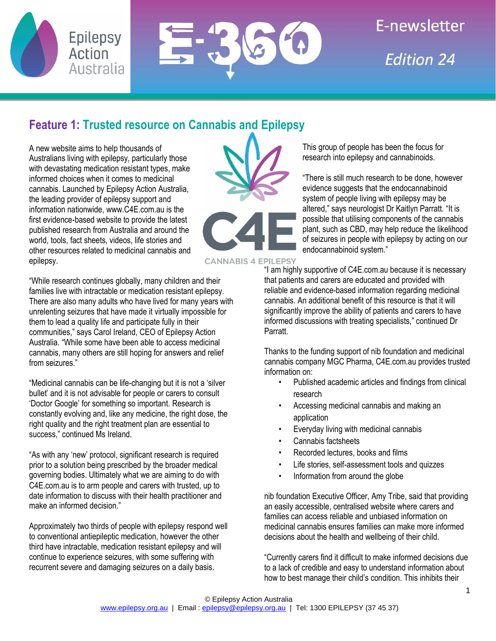



# E-newsletter **Fdition 24**

# **Feature 1: Trusted resource on Cannabis and Epilepsy**

A new website aims to help thousands of Australians living with epilepsy, particularly those with devastating medication resistant types, make informed choices when it comes to medicinal cannabis. Launched by Epilepsy Action Australia, the leading provider of epilepsy support and information nationwide, www.C4E.com.au is the first evidence-based website to provide the latest published research from Australia and around the world, tools, fact sheets, videos, life stories and other resources related to medicinal cannabis and epilepsy.

"While research continues globally, many children and their families live with intractable or medication resistant epilepsy. There are also many adults who have lived for many years with unrelenting seizures that have made it virtually impossible for them to lead a quality life and participate fully in their communities," says Carol Ireland, CEO of Epilepsy Action Australia. "While some have been able to access medicinal cannabis, many others are still hoping for answers and relief from seizures."

"Medicinal cannabis can be life-changing but it is not a 'silver bullet' and it is not advisable for people or carers to consult 'Doctor Google' for something so important. Research is constantly evolving and, like any medicine, the right dose, the right quality and the right treatment plan are essential to success," continued Ms Ireland.

"As with any 'new' protocol, significant research is required prior to a solution being prescribed by the broader medical governing bodies. Ultimately what we are aiming to do with C4E.com.au is to arm people and carers with trusted, up to date information to discuss with their health practitioner and make an informed decision."

Approximately two thirds of people with epilepsy respond well to conventional antiepileptic medication, however the other third have intractable, medication resistant epilepsy and will continue to experience seizures, with some suffering with recurrent severe and damaging seizures on a daily basis.

This group of people has been the focus for research into epilepsy and cannabinoids.

"There is still much research to be done, however evidence suggests that the endocannabinoid system of people living with epilepsy may be altered," says neurologist Dr Kaitlyn Parratt. "It is possible that utilising components of the cannabis plant, such as CBD, may help reduce the likelihood of seizures in people with epilepsy by acting on our endocannabinoid system."

**CANNABIS 4 EPILEPSY** 

"I am highly supportive of C4E.com.au because it is necessary that patients and carers are educated and provided with reliable and evidence-based information regarding medicinal cannabis. An additional benefit of this resource is that it will significantly improve the ability of patients and carers to have informed discussions with treating specialists," continued Dr Parratt.

Thanks to the funding support of nib foundation and medicinal cannabis company MGC Pharma, C4E.com.au provides trusted information on:

- Published academic articles and findings from clinical research
- Accessing medicinal cannabis and making an application
- Everyday living with medicinal cannabis
- Cannabis factsheets
- Recorded lectures, books and films
- Life stories, self-assessment tools and quizzes
- Information from around the globe

nib foundation Executive Officer, Amy Tribe, said that providing an easily accessible, centralised website where carers and families can access reliable and unbiased information on medicinal cannabis ensures families can make more informed decisions about the health and wellbeing of their child.

"Currently carers find it difficult to make informed decisions due to a lack of credible and easy to understand information about how to best manage their child's condition. This inhibits their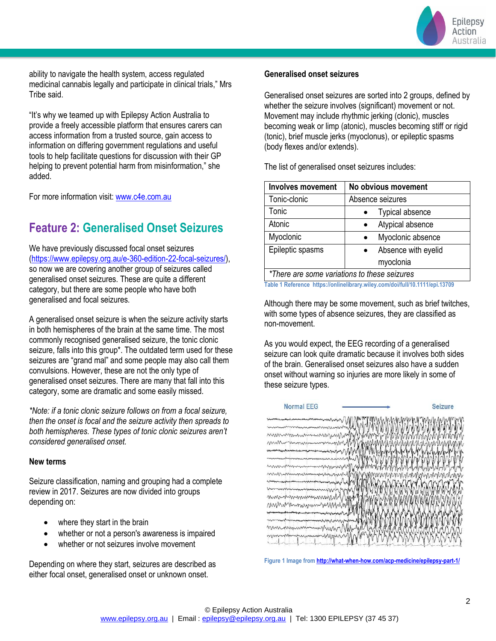

ability to navigate the health system, access regulated medicinal cannabis legally and participate in clinical trials," Mrs Tribe said.

"It's why we teamed up with Epilepsy Action Australia to provide a freely accessible platform that ensures carers can access information from a trusted source, gain access to information on differing government regulations and useful tools to help facilitate questions for discussion with their GP helping to prevent potential harm from misinformation," she added.

For more information visit: [www.c4e.com.au](http://www.c4e.com.au/)

### **Feature 2: Generalised Onset Seizures**

We have previously discussed focal onset seizures [\(https://www.epilepsy.org.au/e-360-edition-22-focal-seizures/\)](https://www.epilepsy.org.au/e-360-edition-22-focal-seizures/), so now we are covering another group of seizures called generalised onset seizures. These are quite a different category, but there are some people who have both generalised and focal seizures.

A generalised onset seizure is when the seizure activity starts in both hemispheres of the brain at the same time. The most commonly recognised generalised seizure, the tonic clonic seizure, falls into this group\*. The outdated term used for these seizures are "grand mal" and some people may also call them convulsions. However, these are not the only type of generalised onset seizures. There are many that fall into this category, some are dramatic and some easily missed.

*\*Note: if a tonic clonic seizure follows on from a focal seizure, then the onset is focal and the seizure activity then spreads to both hemispheres. These types of tonic clonic seizures aren't considered generalised onset.* 

#### **New terms**

Seizure classification, naming and grouping had a complete review in 2017. Seizures are now divided into groups depending on:

- where they start in the brain
- whether or not a person's awareness is impaired
- whether or not seizures involve movement

Depending on where they start, seizures are described as either focal onset, generalised onset or unknown onset.

#### **Generalised onset seizures**

Generalised onset seizures are sorted into 2 groups, defined by whether the seizure involves (significant) movement or not. Movement may include rhythmic jerking (clonic), muscles becoming weak or limp (atonic), muscles becoming stiff or rigid (tonic), brief muscle jerks (myoclonus), or epileptic spasms (body flexes and/or extends).

The list of generalised onset seizures includes:

| <b>Involves movement</b>                     | No obvious movement            |
|----------------------------------------------|--------------------------------|
| Tonic-clonic                                 | Absence seizures               |
| Tonic                                        | <b>Typical absence</b>         |
| Atonic                                       | Atypical absence<br>$\bullet$  |
| Myoclonic                                    | Myoclonic absence<br>$\bullet$ |
| Epileptic spasms                             | Absence with eyelid            |
|                                              | myoclonia                      |
| *There are some variations to these seizures |                                |

**Table 1 Reference https://onlinelibrary.wiley.com/doi/full/10.1111/epi.13709**

Although there may be some movement, such as brief twitches, with some types of absence seizures, they are classified as non-movement.

As you would expect, the EEG recording of a generalised seizure can look quite dramatic because it involves both sides of the brain. Generalised onset seizures also have a sudden onset without warning so injuries are more likely in some of these seizure types.



**Figure 1 Image fro[m http://what-when-how.com/acp-medicine/epilepsy-part-1/](http://what-when-how.com/acp-medicine/epilepsy-part-1/)**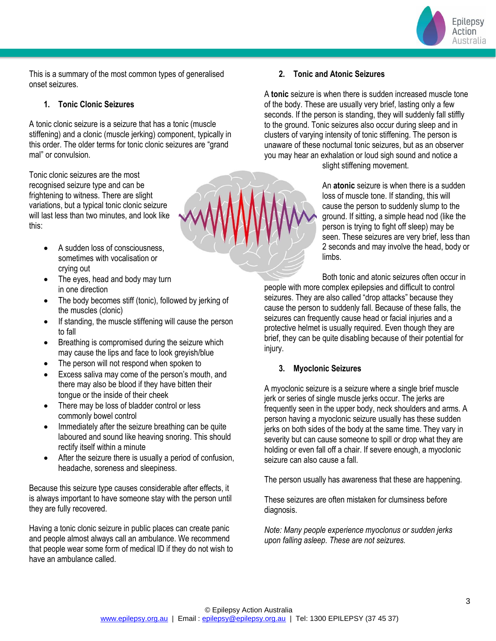

This is a summary of the most common types of generalised onset seizures.

#### **1. Tonic Clonic Seizures**

A tonic clonic seizure is a seizure that has a tonic (muscle stiffening) and a clonic (muscle jerking) component, typically in this order. The older terms for tonic clonic seizures are "grand mal" or convulsion.

Tonic clonic seizures are the most recognised seizure type and can be frightening to witness. There are slight variations, but a typical tonic clonic seizure will last less than two minutes, and look like this:

- A sudden loss of consciousness, sometimes with vocalisation or crying out
- The eyes, head and body may turn in one direction
- The body becomes stiff (tonic), followed by jerking of the muscles (clonic)
- If standing, the muscle stiffening will cause the person to fall
- Breathing is compromised during the seizure which may cause the lips and face to look greyish/blue
- The person will not respond when spoken to
- Excess saliva may come of the person's mouth, and there may also be blood if they have bitten their tongue or the inside of their cheek
- There may be loss of bladder control or less commonly bowel control
- Immediately after the seizure breathing can be quite laboured and sound like heaving snoring. This should rectify itself within a minute
- After the seizure there is usually a period of confusion, headache, soreness and sleepiness.

Because this seizure type causes considerable after effects, it is always important to have someone stay with the person until they are fully recovered.

Having a tonic clonic seizure in public places can create panic and people almost always call an ambulance. We recommend that people wear some form of medical ID if they do not wish to have an ambulance called.

#### **2. Tonic and Atonic Seizures**

A **tonic** seizure is when there is sudden increased muscle tone of the body. These are usually very brief, lasting only a few seconds. If the person is standing, they will suddenly fall stiffly to the ground. Tonic seizures also occur during sleep and in clusters of varying intensity of tonic stiffening. The person is unaware of these nocturnal tonic seizures, but as an observer you may hear an exhalation or loud sigh sound and notice a slight stiffening movement.

> An **atonic** seizure is when there is a sudden loss of muscle tone. If standing, this will cause the person to suddenly slump to the ground. If sitting, a simple head nod (like the person is trying to fight off sleep) may be seen. These seizures are very brief, less than 2 seconds and may involve the head, body or limbs.

Both tonic and atonic seizures often occur in people with more complex epilepsies and difficult to control seizures. They are also called "drop attacks" because they cause the person to suddenly fall. Because of these falls, the seizures can frequently cause head or facial injuries and a protective helmet is usually required. Even though they are brief, they can be quite disabling because of their potential for injury.

#### **3. Myoclonic Seizures**

A myoclonic seizure is a seizure where a single brief muscle jerk or series of single muscle jerks occur. The jerks are frequently seen in the upper body, neck shoulders and arms. A person having a myoclonic seizure usually has these sudden jerks on both sides of the body at the same time. They vary in severity but can cause someone to spill or drop what they are holding or even fall off a chair. If severe enough, a myoclonic seizure can also cause a fall.

The person usually has awareness that these are happening.

These seizures are often mistaken for clumsiness before diagnosis.

*Note: Many people experience myoclonus or sudden jerks upon falling asleep. These are not seizures.*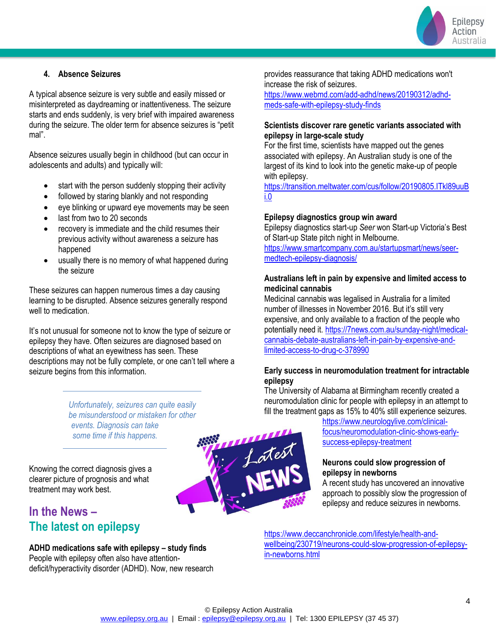

#### **4. Absence Seizures**

A typical absence seizure is very subtle and easily missed or misinterpreted as daydreaming or inattentiveness. The seizure starts and ends suddenly, is very brief with impaired awareness during the seizure. The older term for absence seizures is "petit mal".

Absence seizures usually begin in childhood (but can occur in adolescents and adults) and typically will:

- start with the person suddenly stopping their activity
- followed by staring blankly and not responding
- eye blinking or upward eye movements may be seen
- last from two to 20 seconds
- recovery is immediate and the child resumes their previous activity without awareness a seizure has happened
- usually there is no memory of what happened during the seizure

These seizures can happen numerous times a day causing learning to be disrupted. Absence seizures generally respond well to medication.

It's not unusual for someone not to know the type of seizure or epilepsy they have. Often seizures are diagnosed based on descriptions of what an eyewitness has seen. These descriptions may not be fully complete, or one can't tell where a seizure begins from this information.

> *Unfortunately, seizures can quite easily be misunderstood or mistaken for other events. Diagnosis can take some time if this happens.*

Knowing the correct diagnosis gives a clearer picture of prognosis and what treatment may work best.

## **In the News – The latest on epilepsy**

**ADHD medications safe with epilepsy – study finds** People with epilepsy often also have attentiondeficit/hyperactivity disorder (ADHD). Now, new research provides reassurance that taking ADHD medications won't increase the risk of seizures.

[https://www.webmd.com/add-adhd/news/20190312/adhd](https://www.webmd.com/add-adhd/news/20190312/adhd-meds-safe-with-epilepsy-study-finds)[meds-safe-with-epilepsy-study-finds](https://www.webmd.com/add-adhd/news/20190312/adhd-meds-safe-with-epilepsy-study-finds)

#### **Scientists discover rare genetic variants associated with epilepsy in large-scale study**

For the first time, scientists have mapped out the genes associated with epilepsy. An Australian study is one of the largest of its kind to look into the genetic make-up of people with epilepsy.

[https://transition.meltwater.com/cus/follow/20190805.ITkl89uuB](https://transition.meltwater.com/cus/follow/20190805.ITkl89uuBi.0) [i.0](https://transition.meltwater.com/cus/follow/20190805.ITkl89uuBi.0)

#### **Epilepsy diagnostics group win award**

Epilepsy diagnostics start-up *Seer* won Start-up Victoria's Best of Start-up State pitch night in Melbourne. [https://www.smartcompany.com.au/startupsmart/news/seer](https://www.smartcompany.com.au/startupsmart/news/seer-medtech-epilepsy-diagnosis/)[medtech-epilepsy-diagnosis/](https://www.smartcompany.com.au/startupsmart/news/seer-medtech-epilepsy-diagnosis/)

#### **Australians left in pain by expensive and limited access to medicinal cannabis**

Medicinal cannabis was legalised in Australia for a limited number of illnesses in November 2016. But it's still very expensive, and only available to a fraction of the people who potentially need it. [https://7news.com.au/sunday-night/medical](https://7news.com.au/sunday-night/medical-cannabis-debate-australians-left-in-pain-by-expensive-and-limited-access-to-drug-c-378990)[cannabis-debate-australians-left-in-pain-by-expensive-and](https://7news.com.au/sunday-night/medical-cannabis-debate-australians-left-in-pain-by-expensive-and-limited-access-to-drug-c-378990)[limited-access-to-drug-c-378990](https://7news.com.au/sunday-night/medical-cannabis-debate-australians-left-in-pain-by-expensive-and-limited-access-to-drug-c-378990)

#### **Early success in neuromodulation treatment for intractable epilepsy**

The University of Alabama at Birmingham recently created a neuromodulation clinic for people with epilepsy in an attempt to fill the treatment gaps as 15% to 40% still experience seizures.

[https://www.neurologylive.com/clinical](https://www.neurologylive.com/clinical-focus/neuromodulation-clinic-shows-early-success-epilepsy-treatment)[focus/neuromodulation-clinic-shows-early](https://www.neurologylive.com/clinical-focus/neuromodulation-clinic-shows-early-success-epilepsy-treatment)[success-epilepsy-treatment](https://www.neurologylive.com/clinical-focus/neuromodulation-clinic-shows-early-success-epilepsy-treatment)

#### **Neurons could slow progression of epilepsy in newborns**

A recent study has uncovered an innovative approach to possibly slow the progression of epilepsy and reduce seizures in newborns.

[https://www.deccanchronicle.com/lifestyle/health-and](https://www.deccanchronicle.com/lifestyle/health-and-wellbeing/230719/neurons-could-slow-progression-of-epilepsy-in-newborns.html)[wellbeing/230719/neurons-could-slow-progression-of-epilepsy](https://www.deccanchronicle.com/lifestyle/health-and-wellbeing/230719/neurons-could-slow-progression-of-epilepsy-in-newborns.html)[in-newborns.html](https://www.deccanchronicle.com/lifestyle/health-and-wellbeing/230719/neurons-could-slow-progression-of-epilepsy-in-newborns.html)

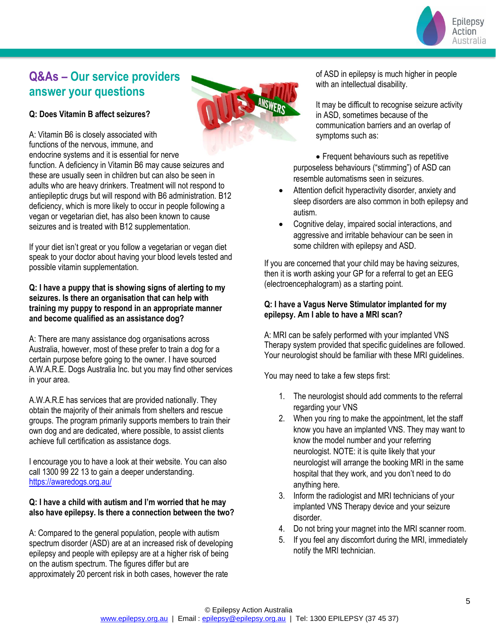

# **Q&As – Our service providers answer your questions**

#### **Q: Does Vitamin B affect seizures?**

A: Vitamin B6 is closely associated with functions of the nervous, immune, and endocrine systems and it is essential for nerve

function. A deficiency in Vitamin B6 may cause seizures and these are usually seen in children but can also be seen in adults who are heavy drinkers. Treatment will not respond to antiepileptic drugs but will respond with B6 administration. B12 deficiency, which is more likely to occur in people following a vegan or vegetarian diet, has also been known to cause seizures and is treated with B12 supplementation.

If your diet isn't great or you follow a vegetarian or vegan diet speak to your doctor about having your blood levels tested and possible vitamin supplementation.

**Q: I have a puppy that is showing signs of alerting to my seizures. Is there an organisation that can help with training my puppy to respond in an appropriate manner and become qualified as an assistance dog?**

A: There are many assistance dog organisations across Australia, however, most of these prefer to train a dog for a certain purpose before going to the owner. I have sourced A.W.A.R.E. Dogs Australia Inc. but you may find other services in your area.

A.W.A.R.E has services that are provided nationally. They obtain the majority of their animals from shelters and rescue groups. The program primarily supports members to train their own dog and are dedicated, where possible, to assist clients achieve full certification as assistance dogs.

I encourage you to have a look at their website. You can also call 1300 99 22 13 to gain a deeper understanding. <https://awaredogs.org.au/>

#### **Q: I have a child with autism and I'm worried that he may also have epilepsy. Is there a connection between the two?**

A: Compared to the general population, people with autism spectrum disorder (ASD) are at an increased risk of developing epilepsy and people with epilepsy are at a higher risk of being on the autism spectrum. The figures differ but are approximately 20 percent risk in both cases, however the rate



of ASD in epilepsy is much higher in people with an intellectual disability.

It may be difficult to recognise seizure activity in ASD, sometimes because of the communication barriers and an overlap of symptoms such as:

• Frequent behaviours such as repetitive purposeless behaviours ("stimming") of ASD can resemble automatisms seen in seizures.

- Attention deficit hyperactivity disorder, anxiety and sleep disorders are also common in both epilepsy and autism.
- Cognitive delay, impaired social interactions, and aggressive and irritable behaviour can be seen in some children with epilepsy and ASD.

If you are concerned that your child may be having seizures, then it is worth asking your GP for a referral to get an EEG (electroencephalogram) as a starting point.

#### **Q: I have a Vagus Nerve Stimulator implanted for my epilepsy. Am I able to have a MRI scan?**

A: MRI can be safely performed with your implanted VNS Therapy system provided that specific guidelines are followed. Your neurologist should be familiar with these MRI guidelines.

You may need to take a few steps first:

- 1. The neurologist should add comments to the referral regarding your VNS
- 2. When you ring to make the appointment, let the staff know you have an implanted VNS. They may want to know the model number and your referring neurologist. NOTE: it is quite likely that your neurologist will arrange the booking MRI in the same hospital that they work, and you don't need to do anything here.
- 3. Inform the radiologist and MRI technicians of your implanted VNS Therapy device and your seizure disorder.
- 4. Do not bring your magnet into the MRI scanner room.
- 5. If you feel any discomfort during the MRI, immediately notify the MRI technician.